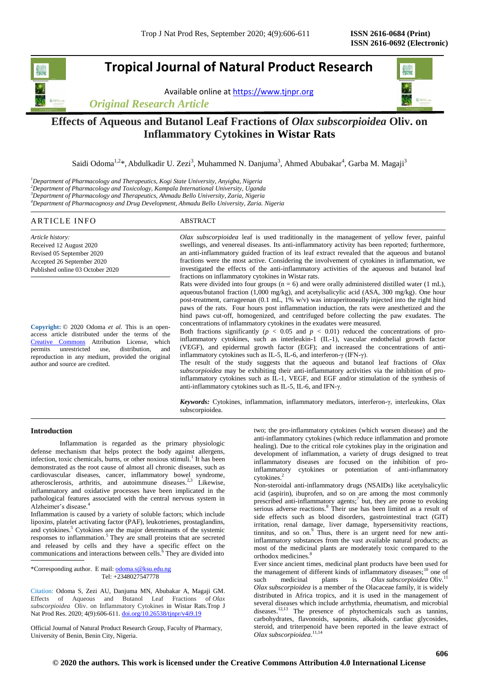# **Tropical Journal of Natural Product Research**

Available online a[t https://www.tjnpr.org](https://www.tjnpr.org/)

*Original Research Article*



## **Effects of Aqueous and Butanol Leaf Fractions of** *Olax subscorpioidea* **Oliv. on Inflammatory Cytokines in Wistar Rats**

Saidi Odoma<sup>1,2</sup>\*, Abdulkadir U. Zezi<sup>3</sup>, Muhammed N. Danjuma<sup>3</sup>, Ahmed Abubakar<sup>4</sup>, Garba M. Magaji<sup>3</sup>

*Department of Pharmacology and Therapeutics, Kogi State University, Anyigba, Nigeria Department of Pharmacology and Toxicology, Kampala International University, Uganda Department of Pharmacology and Therapeutics, Ahmadu Bello University, Zaria, Nigeria Department of Pharmacognosy and Drug Development, Ahmadu Bello University, Zaria. Nigeria*

#### ARTICLE INFO ABSTRACT *Article history:* Received 12 August 2020 Revised 05 September 2020 Accepted 26 September 2020 Published online 03 October 2020 *Olax subscorpioidea* leaf is used traditionally in the management of yellow fever, painful swellings, and venereal diseases. Its anti-inflammatory activity has been reported; furthermore, an anti-inflammatory guided fraction of its leaf extract revealed that the aqueous and butanol fractions were the most active. Considering the involvement of cytokines in inflammation, we investigated the effects of the anti-inflammatory activities of the aqueous and butanol leaf fractions on inflammatory cytokines in Wistar rats. Rats were divided into four groups ( $n = 6$ ) and were orally administered distilled water (1 mL), aqueous/butanol fraction  $(1,000 \text{ mg/kg})$ , and acetylsalicylic acid  $(ASA, 300 \text{ mg/kg})$ . One hour post-treatment, carrageenan (0.1 mL, 1% w/v) was intraperitoneally injected into the right hind paws of the rats. Four hours post inflammation induction, the rats were anesthetized and the hind paws cut-off, homogenized, and centrifuged before collecting the paw exudates. The concentrations of inflammatory cytokines in the exudates were measured. Both fractions significantly ( $p < 0.05$  and  $p < 0.01$ ) reduced the concentrations of proinflammatory cytokines, such as interleukin-1 (IL-1), vascular endothelial growth factor (VEGF), and epidermal growth factor (EGF); and increased the concentrations of antiinflammatory cytokines such as IL-5, IL-6, and interferon-γ (IFN-γ). The result of the study suggests that the aqueous and butanol leaf fractions of *Olax subscorpioidea* may be exhibiting their anti-inflammatory activities via the inhibition of proinflammatory cytokines such as IL-1, VEGF, and EGF and/or stimulation of the synthesis of anti-inflammatory cytokines such as IL-5, IL-6, and IFN-γ. *Keywords:* Cytokines, inflammation, inflammatory mediators, interferon-γ, interleukins, Olax subscorpioidea. **Copyright:** © 2020 Odoma *et al*. This is an openaccess article distributed under the terms of the [Creative Commons](https://creativecommons.org/licenses/by/4.0/) Attribution License, which permits unrestricted use, distribution, and reproduction in any medium, provided the original author and source are credited.

## **Introduction**

Inflammation is regarded as the primary physiologic defense mechanism that helps protect the body against allergens, infection, toxic chemicals, burns, or other noxious stimuli.<sup>1</sup> It has been demonstrated as the root cause of almost all chronic diseases, such as cardiovascular diseases, cancer, inflammatory bowel syndrome, atherosclerosis, arthritis, and autoimmune diseases. $23$  Likewise, inflammatory and oxidative processes have been implicated in the pathological features associated with the central nervous system in Alzheimer's disease. 4

Inflammation is caused by a variety of soluble factors; which include lipoxins, platelet activating factor (PAF), leukotrienes, prostaglandins, and cytokines.<sup>5</sup> Cytokines are the major determinants of the systemic responses to inflammation.<sup>5</sup> They are small proteins that are secreted and released by cells and they have a specific effect on the communications and interactions between cells. $\delta$  They are divided into

\*Corresponding author. E mail[: odoma.s@ksu.edu.ng](mailto:odoma.s@ksu.edu.ng) Tel: +2348027547778

Citation: Odoma S, Zezi AU, Danjuma MN, Abubakar A, Magaji GM. Effects of Aqueous and Butanol Leaf Fractions of *Olax subscorpioidea* Oliv. on Inflammatory Cytokines in Wistar Rats.Trop J Nat Prod Res. 2020; 4(9):606-611. [doi.org/10.26538/tjnpr/v4i9.1](http://www.doi.org/10.26538/tjnpr/v1i4.5)9

Official Journal of Natural Product Research Group, Faculty of Pharmacy, University of Benin, Benin City, Nigeria.

two; the pro-inflammatory cytokines (which worsen disease) and the anti-inflammatory cytokines (which reduce inflammation and promote healing). Due to the critical role cytokines play in the origination and development of inflammation, a variety of drugs designed to treat inflammatory diseases are focused on the inhibition of proinflammatory cytokines or potentiation of anti-inflammatory cytokines.<sup>2</sup>

Non-steroidal anti-inflammatory drugs (NSAIDs) like acetylsalicylic acid (aspirin), ibuprofen, and so on are among the most commonly prescribed anti-inflammatory agents;<sup>7</sup> but, they are prone to evoking serious adverse reactions.<sup>8</sup> Their use has been limited as a result of side effects such as blood disorders, gastrointestinal tract (GIT) irritation, renal damage, liver damage, hypersensitivity reactions, tinnitus, and so on.<sup>9</sup> Thus, there is an urgent need for new antiinflammatory substances from the vast available natural products; as most of the medicinal plants are moderately toxic compared to the orthodox medicines.<sup>8</sup>

Ever since ancient times, medicinal plant products have been used for the management of different kinds of inflammatory diseases;<sup>10</sup> one of such medicinal plants is *Olax subscorpioidea* Oliv.<sup>11</sup> such medicinal plants is *Olax [subscorpioidea](http://theplantlist.org/tpl1.1/record/kew-2400224)* Oliv.<sup>11</sup> *Olax subscorpioidea* is a member of the Olacaceae family, it is widely distributed in Africa tropics, and it is used in the management of several diseases which include arrhythmia, rheumatism, and microbial diseases.<sup>12,13</sup> The presence of phytochemicals such as tannins, carbohydrates, flavonoids, saponins, alkaloids, cardiac glycosides, steroid, and triterpenoid have been reported in the leave extract of *Olax subscorpioidea*. 11,14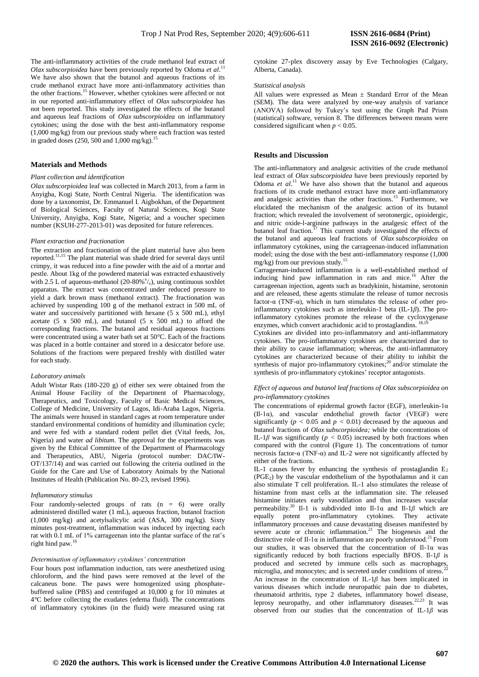The anti-inflammatory activities of the crude methanol leaf extract of *Olax subscorpioidea* have been previously reported by Odoma *et al*. 11 We have also shown that the butanol and aqueous fractions of its crude methanol extract have more anti-inflammatory activities than the other fractions.<sup>15</sup> However, whether cytokines were affected or not in our reported anti-inflammatory effect of *Olax subscorpioidea* has not been reported. This study investigated the effects of the butanol and aqueous leaf fractions of *Olax subscorpioidea* on inflammatory cytokines; using the dose with the best anti-inflammatory response (1,000 mg/kg) from our previous study where each fraction was tested in graded doses (250, 500 and 1,000 mg/kg).

## **Materials and Methods**

#### *Plant collection and identification*

*Olax subscorpioidea* leaf was collected in March 2013, from a farm in Anyigba, Kogi State, North Central Nigeria. The identification was done by a taxonomist, Dr. Emmanuel I. Aigbokhan, of the Department of Biological Sciences, Faculty of Natural Sciences, Kogi State University, Anyigba, Kogi State, Nigeria; and a voucher specimen number (KSUH-277-2013-01) was deposited for future references.

## *Plant extraction and fractionation*

The extraction and fractionation of the plant material have also been reported.<sup>11,15</sup> The plant material was shade dried for several days until crimpy, it was reduced into a fine powder with the aid of a mortar and pestle. About 1kg of the powdered material was extracted exhaustively with 2.5 L of aqueous-methanol (20-80% $v_{v}$ ), using continuous soxhlet apparatus. The extract was concentrated under reduced pressure to yield a dark brown mass (methanol extract). The fractionation was achieved by suspending 100 g of the methanol extract in 500 mL of water and successively partitioned with hexane  $(5 \times 500 \text{ mL})$ , ethyl acetate  $(5 \times 500 \text{ mL})$ , and butanol  $(5 \times 500 \text{ mL})$  to afford the corresponding fractions. The butanol and residual aqueous fractions were concentrated using a water bath set at 50°C. Each of the fractions was placed in a bottle container and stored in a desiccator before use. Solutions of the fractions were prepared freshly with distilled water for each study.

#### *Laboratory animals*

Adult Wistar Rats (180-220 g) of either sex were obtained from the Animal House Facility of the Department of Pharmacology, Therapeutics, and Toxicology, Faculty of Basic Medical Sciences, College of Medicine, University of Lagos, Idi-Araba Lagos, Nigeria. The animals were housed in standard cages at room temperature under standard environmental conditions of humidity and illumination cycle; and were fed with a standard rodent pellet diet (Vital feeds, Jos, Nigeria) and water *ad libitum*. The approval for the experiments was given by the Ethical Committee of the Department of Pharmacology and Therapeutics, ABU, Nigeria (protocol number: DAC/IW-OT/137/14) and was carried out following the criteria outlined in the Guide for the Care and Use of Laboratory Animals by the National Institutes of Health (Publication No. 80-23, revised 1996).

## *Inflammatory stimulus*

Four randomly-selected groups of rats (n = 6) were orally administered distilled water (1 mL), aqueous fraction, butanol fraction (1,000 mg/kg) and acetylsalicylic acid (ASA, 300 mg/kg). Sixty minutes post-treatment, inflammation was induced by injecting each rat with 0.1 mL of 1% carrageenan into the plantar surface of the rat's right hind paw.<sup>16</sup>

#### *Determination of inflammatory cytokines' concentration*

Four hours post inflammation induction, rats were anesthetized using chloroform, and the hind paws were removed at the level of the calcaneus bone. The paws were homogenized using phosphatebuffered saline (PBS) and centrifuged at 10,000 g for 10 minutes at 4°C before collecting the exudates (edema fluid). The concentrations of inflammatory cytokines (in the fluid) were measured using rat cytokine 27-plex discovery assay by Eve Technologies (Calgary, Alberta, Canada).

#### *Statistical analysis*

All values were expressed as Mean  $\pm$  Standard Error of the Mean (SEM). The data were analyzed by one-way analysis of variance (ANOVA) followed by Tukey's test using the Graph Pad Prism (statistical) software, version 8. The differences between means were considered significant when  $p < 0.05$ .

## **Results and** D**iscussion**

The anti-inflammatory and analgesic activities of the crude methanol leaf extract of *Olax subscorpioidea* have been previously reported by Odoma *et al.*<sup>11</sup> We have also shown that the butanol and aqueous fractions of its crude methanol extract have more anti-inflammatory and analgesic activities than the other fractions.<sup>15</sup> Furthermore, we elucidated the mechanism of the analgesic action of its butanol fraction; which revealed the involvement of serotonergic, opioidergic, and nitric oxide-l-arginine pathways in the analgesic effect of the butanol leaf fraction.<sup>17</sup> This current study investigated the effects of the butanol and aqueous leaf fractions of *Olax subscorpioidea* on inflammatory cytokines, using the carrageenan-induced inflammation model; using the dose with the best anti-inflammatory response (1,000  $mg/kg$ ) from our previous study.<sup>15</sup>

Carrageenan-induced inflammation is a well-established method of inducing hind paw inflammation in rats and mice.<sup>16</sup> After the carrageenan injection, agents such as bradykinin, histamine, serotonin and are released, these agents stimulate the release of tumor necrosis factor- $\alpha$  (TNF- $\alpha$ ), which in turn stimulates the release of other proinflammatory cytokines such as interleukin-1 beta (IL-1*β*). The proinflammatory cytokines promote the release of the cycloxygenase enzymes, which convert arachidonic acid to prostaglandins.<sup>18</sup>

Cytokines are divided into pro-inflammatory and anti-inflammatory cytokines. The pro-inflammatory cytokines are characterized due to their ability to cause inflammation; whereas, the anti-inflammatory cytokines are characterized because of their ability to inhibit the synthesis of major pro-inflammatory cytokines; $^{20}$  and/or stimulate the synthesis of pro-inflammatory cytokines' receptor antagonists.

## *Effect of aqueous and butanol leaf fractions of Olax subscorpioidea on pro-inflammatory cytokines*

The concentrations of epidermal growth factor (EGF), interleukin-1 $\alpha$ (Il-1α), and vascular endothelial growth factor (VEGF) were significantly ( $p < 0.05$  and  $p < 0.01$ ) decreased by the aqueous and butanol fractions of *Olax subscorpioidea;* while the concentrations of IL-1 $\beta$  was significantly ( $p < 0.05$ ) increased by both fractions when compared with the control (Figure 1). The concentrations of tumor necrosis factor-α (TNF-α) and IL-2 were not significantly affected by either of the fractions.

IL-1 causes fever by enhancing the synthesis of prostaglandin  $E_2$ (PGE2) by the vascular endothelium of the hypothalamus and it can also stimulate T cell proliferation. IL-1 also stimulates the release of histamine from mast cells at the inflammation site. The released histamine initiates early vasodilation and thus increases vascular permeability.<sup>20</sup> Il-1 is subdivided into Il-1 $\alpha$  and Il-1 $\beta$  which are equally potent pro-inflammatory cytokines. They activate inflammatory processes and cause devastating diseases manifested by severe acute or chronic inflammation.<sup>21</sup> The biogenesis and the distinctive role of Il-1 $\alpha$  in inflammation are poorly understood.<sup>21</sup> From our studies, it was observed that the concentration of Il-1α was significantly reduced by both fractions especially BFOS. Il-1*β* is produced and secreted by immune cells such as macrophages, microglia, and monocytes; and is secreted under conditions of stress.<sup>22</sup> An increase in the concentration of IL-1*β* has been implicated in various diseases which include neuropathic pain due to diabetes, rheumatoid arthritis, type 2 diabetes, inflammatory bowel disease, leprosy neuropathy, and other inflammatory diseases.<sup>22,23</sup> It was observed from our studies that the concentration of IL-1*β* was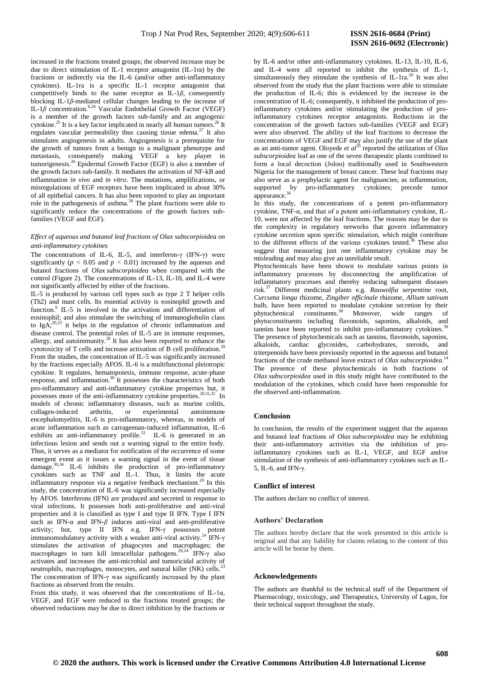increased in the fractions treated groups; the observed increase may be due to direct stimulation of IL-1 receptor antagonist (IL-1ra) by the fractions or indirectly via the IL-6 (and/or other anti-inflammatory cytokines). IL-1ra is a specific IL-1 receptor antagonist that competitively binds to the same receptor as  $IL-1\beta$ , consequently blocking IL-1*β*-mediated cellular changes leading to the increase of IL-1β concentration.<sup>6,24</sup> Vascular Endothelial Growth Factor (VEGF) is a member of the growth factors sub-family and an angiogenic cytokine.<sup>25</sup> It is a key factor implicated in nearly all human tumors.<sup>26</sup> It regulates vascular permeability thus causing tissue edema.<sup>27</sup> It also stimulates angiogenesis in adults. Angiogenesis is a prerequisite for the growth of tumors from a benign to a malignant phenotype and metastasis, consequently making VEGF a key player in tumorigenesis.<sup>26</sup> Epidermal Growth Factor (EGF) is also a member of the growth factors sub-family. It mediates the activation of NF-kB and inflammation *in vivo* and *in vitro*. The mutations, amplifications, or misregulations of EGF receptors have been implicated in about 30% of all epithelial cancers. It has also been reported to play an important role in the pathogenesis of asthma.<sup>28</sup> The plant fractions were able to significantly reduce the concentrations of the growth factors subfamilies (VEGF and EGF).

## *Effect of aqueous and butanol leaf fractions of Olax subscorpioidea on anti-inflammatory cytokines*

The concentrations of IL-6, IL-5, and interferon-γ (IFN-γ) were significantly ( $p < 0.05$  and  $p < 0.01$ ) increased by the aqueous and butanol fractions of *Olax subscorpioidea* when compared with the control (Figure 2). The concentrations of IL-13, IL-10, and IL-4 were not significantly affected by either of the fractions.

IL-5 is produced by various cell types such as type 2 T helper cells (Th2) and mast cells. Its essential activity is eosinophil growth and function.<sup>6</sup> IL-5 is involved in the activation and differentiation of eosinophil; and also stimulate the switching of immunoglobulin class to Ig $A$ ;<sup>20,23</sup> it helps in the regulation of chronic inflammation and disease control. The potential roles of IL-5 are in immune responses, allergy, and autoimmunity.<sup>29</sup> It has also been reported to enhance the cytotoxicity of T cells and increase activation of B cell proliferation.<sup>2</sup> From the studies, the concentration of IL-5 was significantly increased by the fractions especially AFOS. IL-6 is a multifunctional pleiotropic cytokine. It regulates, hematopoiesis, immune response, acute-phase response, and inflammation.<sup>30</sup> It possesses the characteristics of both pro-inflammatory and anti-inflammatory cytokine properties but, it possesses more of the anti-inflammatory cytokine properties.<sup>20,31,32</sup> In models of chronic inflammatory diseases, such as murine colitis, collagen-induced arthritis, or experimental autoimmune encephalomyelitis, IL-6 is pro-inflammatory, whereas, in models of acute inflammation such as carrageenan-induced inflammation, IL-6 exhibits an anti-inflammatory profile. $33$  IL-6 is generated in an infectious lesion and sends out a warning signal to the entire body. Thus, it serves as a mediator for notification of the occurrence of some emergent event as it issues a warning signal in the event of tissue damage.<sup>30,34</sup> IL-6 inhibits the production of pro-inflammatory cytokines such as TNF and IL-1. Thus, it limits the acute inflammatory response via a negative feedback mechanism.<sup>20</sup> In this study, the concentration of IL-6 was significantly increased especially by AFOS. Interferons (IFN) are produced and secreted in response to viral infections. It possesses both anti-proliferative and anti-viral properties and it is classified as type I and type II IFN. Type I IFN such as IFN- $\alpha$  and IFN- $\beta$  induces anti-viral and anti-proliferative activity; but, type II IFN e.g. IFN-γ possesses potent immunomodulatory activity with a weaker anti-viral activity.<sup>24</sup> IFN- $\gamma$ stimulates the activation of phagocytes and macrophages; the macrophages in turn kill intracellular pathogens.20,24 IFN-γ also activates and increases the anti-microbial and tumoricidal activity of neutrophils, macrophages, monocytes, and natural killer (NK) cells.<sup>2</sup> The concentration of IFN-γ was significantly increased by the plant fractions as observed from the results.

From this study, it was observed that the concentrations of IL-1 $\alpha$ , VEGF, and EGF were reduced in the fractions treated groups; the observed reductions may be due to direct inhibition by the fractions or

by IL-6 and/or other anti-inflammatory cytokines. IL-13, IL-10, IL-6, and IL-4 were all reported to inhibit the synthesis of IL-1, simultaneously they stimulate the synthesis of  $IL-1ra<sup>20</sup>$  It was also observed from the study that the plant fractions were able to stimulate the production of IL-6; this is evidenced by the increase in the concentration of IL-6; consequently, it inhibited the production of proinflammatory cytokines and/or stimulating the production of proinflammatory cytokines receptor antagonists. Reductions in the concentration of the growth factors sub-families (VEGF and EGF) were also observed. The ability of the leaf fractions to decrease the concentrations of VEGF and EGF may also justify the use of the plant as an anti-tumor agent. Oloyede *et al*<sup>35</sup> reported the utilization of *Olax subscorpioidea* leaf as one of the seven therapeutic plants combined to form a local decoction (Joloo) traditionally used in Southwestern Nigeria for the management of breast cancer. These leaf fractions may also serve as a prophylactic agent for malignancies; as inflammation, supported by pro-inflammatory cytokines; precede tumor appearance. 36

In this study, the concentrations of a potent pro-inflammatory cytokine, TNF-α, and that of a potent anti-inflammatory cytokine, IL-10, were not affected by the leaf fractions. The reasons may be due to the complexity in regulatory networks that govern inflammatory cytokine secretion upon specific stimulation, which might contribute to the different effects of the various cytokines tested.<sup>36</sup> These also suggest that measuring just one inflammatory cytokine may be misleading and may also give an unreliable result.

Phytochemicals have been shown to modulate various points in inflammatory processes by disconnecting the amplification of inflammatory processes and thereby reducing subsequent diseases risk.<sup>37</sup> Different medicinal plants e.g. *Rauwolfia serpentine* root, *Curcuma longa* rhizome, *Zingiber officinale* rhizome, *Allium sativum* bulb, have been reported to modulate cytokine secretion by their phytochemical constituents.<sup>38</sup> Moreover, wide ranges of phytoconstituents including flavonoids, saponins, alkaloids, and tannins have been reported to inhibit pro-inflammatory cytokines.<sup>3</sup> The presence of phytochemicals such as tannins, flavonoids, saponins, alkaloids, cardiac glycosides, carbohydrates, steroids, and triterpenoids have been previously reported in the aqueous and butanol fractions of the crude methanol leave extract of *Olax subscorpioidea*. 14 The presence of these phytochemicals in both fractions of *Olax subscorpioidea* used in this study might have contributed to the modulation of the cytokines, which could have been responsible for the observed anti-inflammation.

## **Conclusion**

In conclusion, the results of the experiment suggest that the aqueous and butanol leaf fractions of *Olax subscorpioidea* may be exhibiting their anti-inflammatory activities via the inhibition of proinflammatory cytokines such as IL-1, VEGF, and EGF and/or stimulation of the synthesis of anti-inflammatory cytokines such as IL-5, IL-6, and IFN-γ.

### **Conflict of interest**

The authors declare no conflict of interest.

#### **Authors' Declaration**

The authors hereby declare that the work presented in this article is original and that any liability for claims relating to the content of this article will be borne by them.

## **Acknowledgements**

The authors are thankful to the technical staff of the Department of Pharmacology, toxicology, and Therapeutics, University of Lagos, for their technical support throughout the study.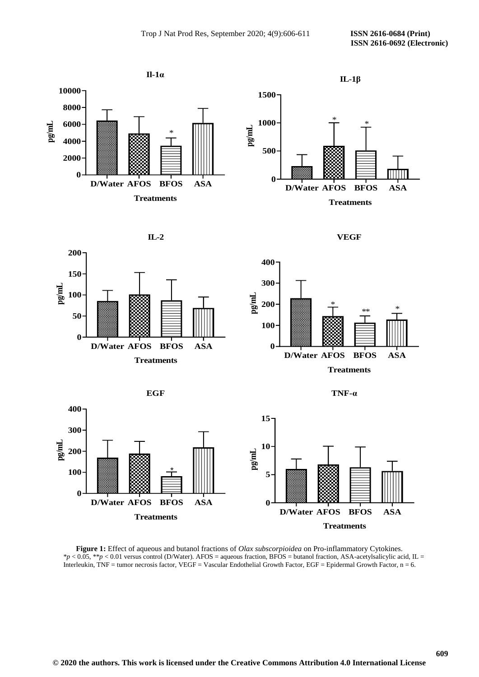







**IL-2**







**Figure 1:** Effect of aqueous and butanol fractions of *Olax subscorpioidea* on Pro-inflammatory Cytokines. \**p* < 0.05, \*\**p* < 0.01 versus control (D/Water). AFOS = aqueous fraction, BFOS = butanol fraction, ASA-acetylsalicylic acid, IL = Interleukin, TNF = tumor necrosis factor, VEGF = Vascular Endothelial Growth Factor, EGF = Epidermal Growth Factor, n = 6.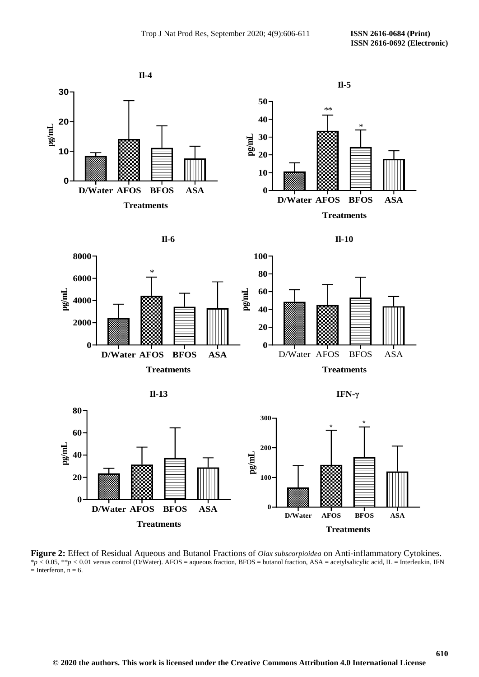**610**



**Figure 2:** Effect of Residual Aqueous and Butanol Fractions of *Olax subscorpioidea* on Anti-inflammatory Cytokines.  $*_p$  < 0.05,  $**_p$  < 0.01 versus control (D/Water). AFOS = aqueous fraction, BFOS = butanol fraction, ASA = acetylsalicylic acid, IL = Interleukin, IFN  $=$  Interferon,  $n = 6$ .